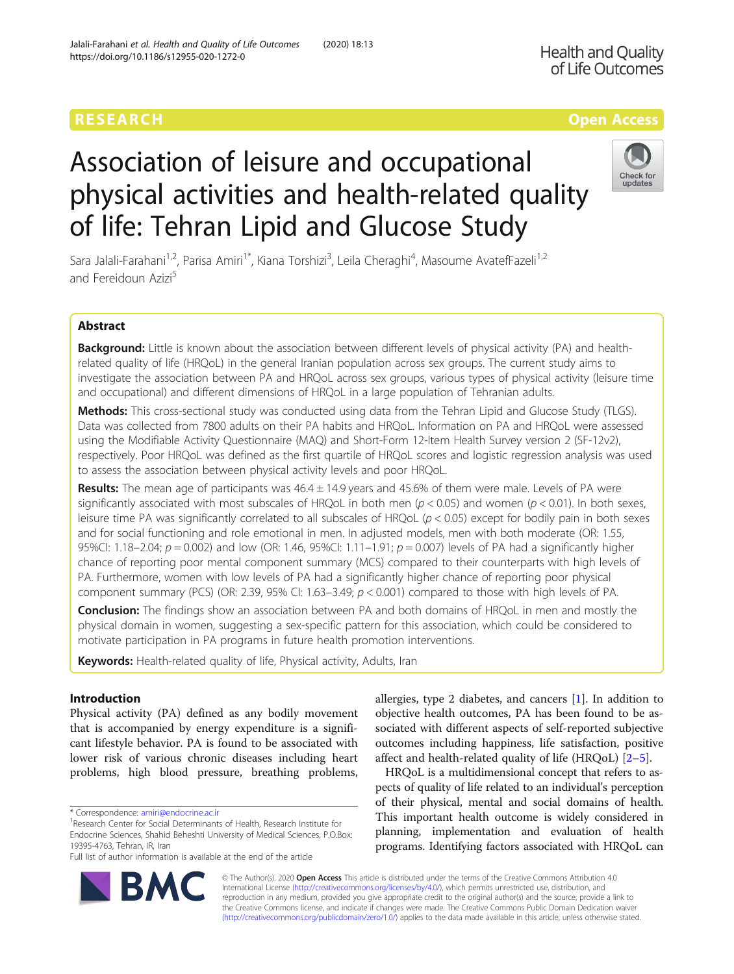# Association of leisure and occupational physical activities and health-related quality of life: Tehran Lipid and Glucose Study

Sara Jalali-Farahani<sup>1,2</sup>, Parisa Amiri<sup>1\*</sup>, Kiana Torshizi<sup>3</sup>, Leila Cheraghi<sup>4</sup>, Masoume AvatefFazeli<sup>1,2</sup> and Fereidoun Azizi<sup>5</sup>

# Abstract

Background: Little is known about the association between different levels of physical activity (PA) and healthrelated quality of life (HRQoL) in the general Iranian population across sex groups. The current study aims to investigate the association between PA and HRQoL across sex groups, various types of physical activity (leisure time and occupational) and different dimensions of HRQoL in a large population of Tehranian adults.

Methods: This cross-sectional study was conducted using data from the Tehran Lipid and Glucose Study (TLGS). Data was collected from 7800 adults on their PA habits and HRQoL. Information on PA and HRQoL were assessed using the Modifiable Activity Questionnaire (MAQ) and Short-Form 12-Item Health Survey version 2 (SF-12v2), respectively. Poor HRQoL was defined as the first quartile of HRQoL scores and logistic regression analysis was used to assess the association between physical activity levels and poor HRQoL.

Results: The mean age of participants was  $46.4 \pm 14.9$  years and  $45.6\%$  of them were male. Levels of PA were significantly associated with most subscales of HRQoL in both men ( $p < 0.05$ ) and women ( $p < 0.01$ ). In both sexes, leisure time PA was significantly correlated to all subscales of HRQoL ( $p < 0.05$ ) except for bodily pain in both sexes and for social functioning and role emotional in men. In adjusted models, men with both moderate (OR: 1.55, 95%CI: 1.18–2.04;  $p = 0.002$ ) and low (OR: 1.46, 95%CI: 1.11–1.91;  $p = 0.007$ ) levels of PA had a significantly higher chance of reporting poor mental component summary (MCS) compared to their counterparts with high levels of PA. Furthermore, women with low levels of PA had a significantly higher chance of reporting poor physical component summary (PCS) (OR: 2.39, 95% CI: 1.63–3.49;  $p < 0.001$ ) compared to those with high levels of PA.

Conclusion: The findings show an association between PA and both domains of HRQoL in men and mostly the physical domain in women, suggesting a sex-specific pattern for this association, which could be considered to motivate participation in PA programs in future health promotion interventions.

Keywords: Health-related quality of life, Physical activity, Adults, Iran

# Introduction

Physical activity (PA) defined as any bodily movement that is accompanied by energy expenditure is a significant lifestyle behavior. PA is found to be associated with lower risk of various chronic diseases including heart problems, high blood pressure, breathing problems,

\* Correspondence: [amiri@endocrine.ac.ir](mailto:amiri@endocrine.ac.ir) <sup>1</sup>

Full list of author information is available at the end of the article

allergies, type 2 diabetes, and cancers [\[1](#page-7-0)]. In addition to objective health outcomes, PA has been found to be associated with different aspects of self-reported subjective outcomes including happiness, life satisfaction, positive affect and health-related quality of life (HRQoL) [\[2](#page-7-0)–[5](#page-7-0)].

HRQoL is a multidimensional concept that refers to aspects of quality of life related to an individual's perception of their physical, mental and social domains of health. This important health outcome is widely considered in planning, implementation and evaluation of health programs. Identifying factors associated with HRQoL can

© The Author(s). 2020 **Open Access** This article is distributed under the terms of the Creative Commons Attribution 4.0 International License [\(http://creativecommons.org/licenses/by/4.0/](http://creativecommons.org/licenses/by/4.0/)), which permits unrestricted use, distribution, and reproduction in any medium, provided you give appropriate credit to the original author(s) and the source, provide a link to the Creative Commons license, and indicate if changes were made. The Creative Commons Public Domain Dedication waiver [\(http://creativecommons.org/publicdomain/zero/1.0/](http://creativecommons.org/publicdomain/zero/1.0/)) applies to the data made available in this article, unless otherwise stated.







<sup>&</sup>lt;sup>1</sup>Research Center for Social Determinants of Health, Research Institute for Endocrine Sciences, Shahid Beheshti University of Medical Sciences, P.O.Box: 19395-4763, Tehran, IR, Iran

Jalali-Farahani et al. Health and Quality of Life Outcomes (2020) 18:13 https://doi.org/10.1186/s12955-020-1272-0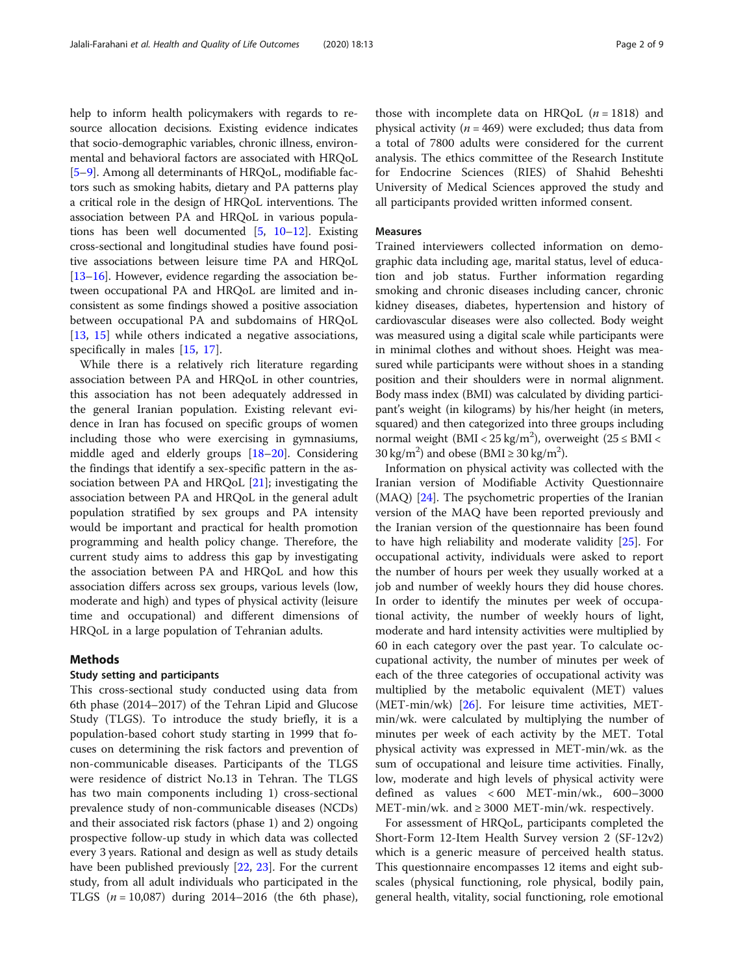help to inform health policymakers with regards to resource allocation decisions. Existing evidence indicates that socio-demographic variables, chronic illness, environmental and behavioral factors are associated with HRQoL [[5](#page-7-0)–[9](#page-7-0)]. Among all determinants of HRQoL, modifiable factors such as smoking habits, dietary and PA patterns play a critical role in the design of HRQoL interventions. The association between PA and HRQoL in various populations has been well documented  $[5, 10-12]$  $[5, 10-12]$  $[5, 10-12]$  $[5, 10-12]$  $[5, 10-12]$  $[5, 10-12]$ . Existing cross-sectional and longitudinal studies have found positive associations between leisure time PA and HRQoL [[13](#page-7-0)–[16\]](#page-7-0). However, evidence regarding the association between occupational PA and HRQoL are limited and inconsistent as some findings showed a positive association between occupational PA and subdomains of HRQoL [[13,](#page-7-0) [15](#page-7-0)] while others indicated a negative associations, specifically in males [[15,](#page-7-0) [17\]](#page-7-0).

While there is a relatively rich literature regarding association between PA and HRQoL in other countries, this association has not been adequately addressed in the general Iranian population. Existing relevant evidence in Iran has focused on specific groups of women including those who were exercising in gymnasiums, middle aged and elderly groups [[18](#page-7-0)–[20](#page-7-0)]. Considering the findings that identify a sex-specific pattern in the association between PA and HRQoL [[21\]](#page-7-0); investigating the association between PA and HRQoL in the general adult population stratified by sex groups and PA intensity would be important and practical for health promotion programming and health policy change. Therefore, the current study aims to address this gap by investigating the association between PA and HRQoL and how this association differs across sex groups, various levels (low, moderate and high) and types of physical activity (leisure time and occupational) and different dimensions of HRQoL in a large population of Tehranian adults.

# Methods

## Study setting and participants

This cross-sectional study conducted using data from 6th phase (2014–2017) of the Tehran Lipid and Glucose Study (TLGS). To introduce the study briefly, it is a population-based cohort study starting in 1999 that focuses on determining the risk factors and prevention of non-communicable diseases. Participants of the TLGS were residence of district No.13 in Tehran. The TLGS has two main components including 1) cross-sectional prevalence study of non-communicable diseases (NCDs) and their associated risk factors (phase 1) and 2) ongoing prospective follow-up study in which data was collected every 3 years. Rational and design as well as study details have been published previously [[22,](#page-7-0) [23\]](#page-7-0). For the current study, from all adult individuals who participated in the TLGS  $(n = 10,087)$  during 2014–2016 (the 6th phase),

those with incomplete data on HRQoL  $(n = 1818)$  and physical activity ( $n = 469$ ) were excluded; thus data from a total of 7800 adults were considered for the current analysis. The ethics committee of the Research Institute for Endocrine Sciences (RIES) of Shahid Beheshti University of Medical Sciences approved the study and all participants provided written informed consent.

#### Measures

Trained interviewers collected information on demographic data including age, marital status, level of education and job status. Further information regarding smoking and chronic diseases including cancer, chronic kidney diseases, diabetes, hypertension and history of cardiovascular diseases were also collected. Body weight was measured using a digital scale while participants were in minimal clothes and without shoes. Height was measured while participants were without shoes in a standing position and their shoulders were in normal alignment. Body mass index (BMI) was calculated by dividing participant's weight (in kilograms) by his/her height (in meters, squared) and then categorized into three groups including normal weight  $(BMI < 25 \text{ kg/m}^2)$ , overweight  $(25 \leq BMI <$ 30 kg/m<sup>2</sup>) and obese (BMI  $\geq$  30 kg/m<sup>2</sup>).

Information on physical activity was collected with the Iranian version of Modifiable Activity Questionnaire (MAQ) [\[24](#page-7-0)]. The psychometric properties of the Iranian version of the MAQ have been reported previously and the Iranian version of the questionnaire has been found to have high reliability and moderate validity [\[25\]](#page-7-0). For occupational activity, individuals were asked to report the number of hours per week they usually worked at a job and number of weekly hours they did house chores. In order to identify the minutes per week of occupational activity, the number of weekly hours of light, moderate and hard intensity activities were multiplied by 60 in each category over the past year. To calculate occupational activity, the number of minutes per week of each of the three categories of occupational activity was multiplied by the metabolic equivalent (MET) values (MET-min/wk) [[26\]](#page-7-0). For leisure time activities, METmin/wk. were calculated by multiplying the number of minutes per week of each activity by the MET. Total physical activity was expressed in MET-min/wk. as the sum of occupational and leisure time activities. Finally, low, moderate and high levels of physical activity were defined as values < 600 MET-min/wk., 600–3000 MET-min/wk. and ≥ 3000 MET-min/wk. respectively.

For assessment of HRQoL, participants completed the Short-Form 12-Item Health Survey version 2 (SF-12v2) which is a generic measure of perceived health status. This questionnaire encompasses 12 items and eight subscales (physical functioning, role physical, bodily pain, general health, vitality, social functioning, role emotional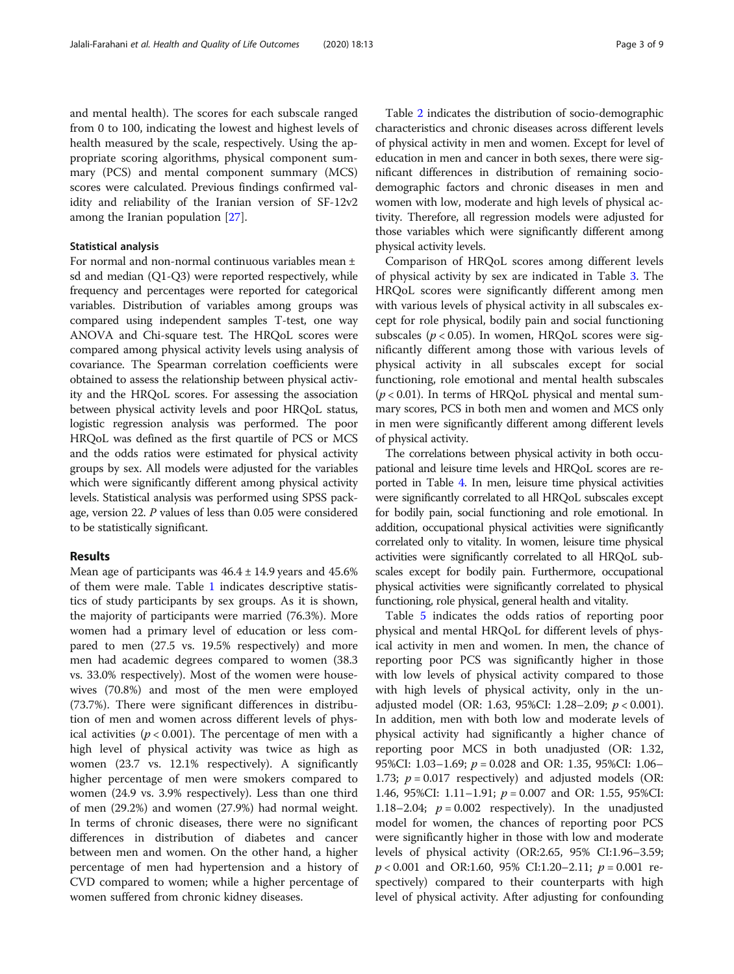and mental health). The scores for each subscale ranged from 0 to 100, indicating the lowest and highest levels of health measured by the scale, respectively. Using the appropriate scoring algorithms, physical component summary (PCS) and mental component summary (MCS) scores were calculated. Previous findings confirmed validity and reliability of the Iranian version of SF-12v2 among the Iranian population [[27](#page-7-0)].

# Statistical analysis

For normal and non-normal continuous variables mean ± sd and median (Q1-Q3) were reported respectively, while frequency and percentages were reported for categorical variables. Distribution of variables among groups was compared using independent samples T-test, one way ANOVA and Chi-square test. The HRQoL scores were compared among physical activity levels using analysis of covariance. The Spearman correlation coefficients were obtained to assess the relationship between physical activity and the HRQoL scores. For assessing the association between physical activity levels and poor HRQoL status, logistic regression analysis was performed. The poor HRQoL was defined as the first quartile of PCS or MCS and the odds ratios were estimated for physical activity groups by sex. All models were adjusted for the variables which were significantly different among physical activity levels. Statistical analysis was performed using SPSS package, version 22. P values of less than 0.05 were considered to be statistically significant.

# Results

Mean age of participants was  $46.4 \pm 14.9$  years and  $45.6\%$ of them were male. Table [1](#page-3-0) indicates descriptive statistics of study participants by sex groups. As it is shown, the majority of participants were married (76.3%). More women had a primary level of education or less compared to men (27.5 vs. 19.5% respectively) and more men had academic degrees compared to women (38.3 vs. 33.0% respectively). Most of the women were housewives (70.8%) and most of the men were employed (73.7%). There were significant differences in distribution of men and women across different levels of physical activities ( $p < 0.001$ ). The percentage of men with a high level of physical activity was twice as high as women (23.7 vs. 12.1% respectively). A significantly higher percentage of men were smokers compared to women (24.9 vs. 3.9% respectively). Less than one third of men (29.2%) and women (27.9%) had normal weight. In terms of chronic diseases, there were no significant differences in distribution of diabetes and cancer between men and women. On the other hand, a higher percentage of men had hypertension and a history of CVD compared to women; while a higher percentage of women suffered from chronic kidney diseases.

Table [2](#page-4-0) indicates the distribution of socio-demographic characteristics and chronic diseases across different levels of physical activity in men and women. Except for level of education in men and cancer in both sexes, there were significant differences in distribution of remaining sociodemographic factors and chronic diseases in men and women with low, moderate and high levels of physical activity. Therefore, all regression models were adjusted for those variables which were significantly different among physical activity levels.

Comparison of HRQoL scores among different levels of physical activity by sex are indicated in Table [3](#page-4-0). The HRQoL scores were significantly different among men with various levels of physical activity in all subscales except for role physical, bodily pain and social functioning subscales ( $p < 0.05$ ). In women, HRQoL scores were significantly different among those with various levels of physical activity in all subscales except for social functioning, role emotional and mental health subscales  $(p < 0.01)$ . In terms of HRQoL physical and mental summary scores, PCS in both men and women and MCS only in men were significantly different among different levels of physical activity.

The correlations between physical activity in both occupational and leisure time levels and HRQoL scores are reported in Table [4.](#page-5-0) In men, leisure time physical activities were significantly correlated to all HRQoL subscales except for bodily pain, social functioning and role emotional. In addition, occupational physical activities were significantly correlated only to vitality. In women, leisure time physical activities were significantly correlated to all HRQoL subscales except for bodily pain. Furthermore, occupational physical activities were significantly correlated to physical functioning, role physical, general health and vitality.

Table [5](#page-5-0) indicates the odds ratios of reporting poor physical and mental HRQoL for different levels of physical activity in men and women. In men, the chance of reporting poor PCS was significantly higher in those with low levels of physical activity compared to those with high levels of physical activity, only in the unadjusted model (OR: 1.63, 95%CI: 1.28-2.09;  $p < 0.001$ ). In addition, men with both low and moderate levels of physical activity had significantly a higher chance of reporting poor MCS in both unadjusted (OR: 1.32, 95%CI: 1.03-1.69;  $p = 0.028$  and OR: 1.35, 95%CI: 1.06-1.73;  $p = 0.017$  respectively) and adjusted models (OR: 1.46, 95%CI: 1.11-1.91;  $p = 0.007$  and OR: 1.55, 95%CI: 1.18–2.04;  $p = 0.002$  respectively). In the unadjusted model for women, the chances of reporting poor PCS were significantly higher in those with low and moderate levels of physical activity (OR:2.65, 95% CI:1.96–3.59;  $p < 0.001$  and OR:1.60, 95% CI:1.20-2.11;  $p = 0.001$  respectively) compared to their counterparts with high level of physical activity. After adjusting for confounding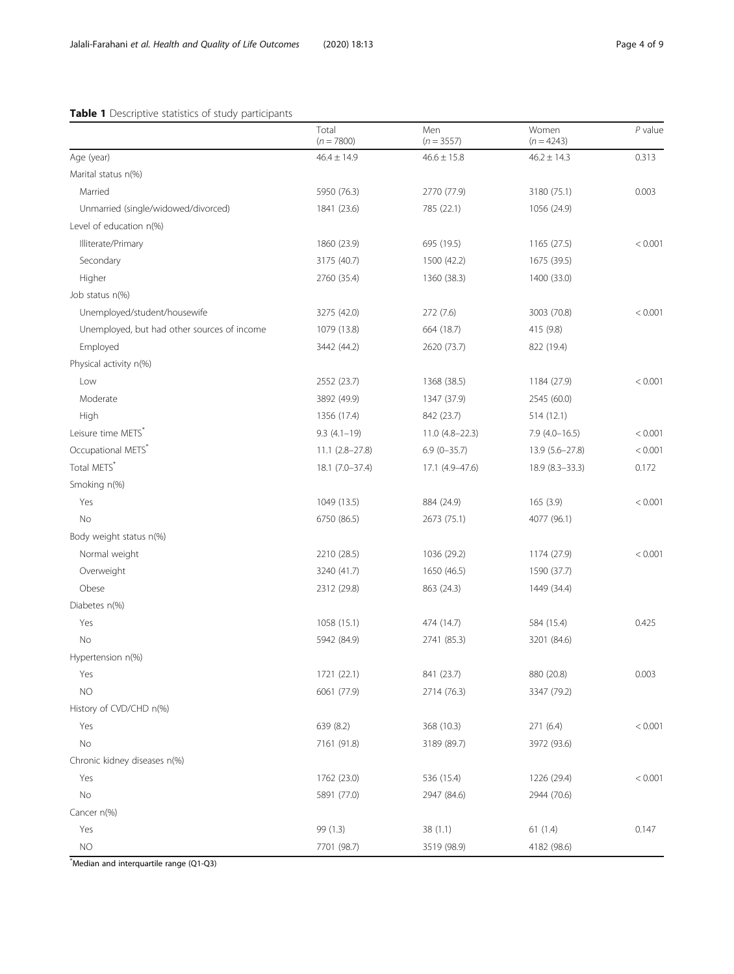# <span id="page-3-0"></span>Table 1 Descriptive statistics of study participants

|                                             | Total<br>$(n = 7800)$ | Men<br>$(n = 3557)$ | Women<br>$(n = 4243)$ | $P$ value |
|---------------------------------------------|-----------------------|---------------------|-----------------------|-----------|
| Age (year)                                  | $46.4 \pm 14.9$       | $46.6 \pm 15.8$     | $46.2 \pm 14.3$       | 0.313     |
| Marital status n(%)                         |                       |                     |                       |           |
| Married                                     | 5950 (76.3)           | 2770 (77.9)         | 3180 (75.1)           | 0.003     |
| Unmarried (single/widowed/divorced)         | 1841 (23.6)           | 785 (22.1)          | 1056 (24.9)           |           |
| Level of education n(%)                     |                       |                     |                       |           |
| Illiterate/Primary                          | 1860 (23.9)           | 695 (19.5)          | 1165 (27.5)           | < 0.001   |
| Secondary                                   | 3175 (40.7)           | 1500 (42.2)         | 1675 (39.5)           |           |
| Higher                                      | 2760 (35.4)           | 1360 (38.3)         | 1400 (33.0)           |           |
| Job status n(%)                             |                       |                     |                       |           |
| Unemployed/student/housewife                | 3275 (42.0)           | 272 (7.6)           | 3003 (70.8)           | < 0.001   |
| Unemployed, but had other sources of income | 1079 (13.8)           | 664 (18.7)          | 415 (9.8)             |           |
| Employed                                    | 3442 (44.2)           | 2620 (73.7)         | 822 (19.4)            |           |
| Physical activity n(%)                      |                       |                     |                       |           |
| Low                                         | 2552 (23.7)           | 1368 (38.5)         | 1184 (27.9)           | < 0.001   |
| Moderate                                    | 3892 (49.9)           | 1347 (37.9)         | 2545 (60.0)           |           |
| High                                        | 1356 (17.4)           | 842 (23.7)          | 514(12.1)             |           |
| Leisure time METS*                          | $9.3(4.1-19)$         | $11.0(4.8-22.3)$    | $7.9(4.0-16.5)$       | < 0.001   |
| Occupational METS*                          | $11.1 (2.8 - 27.8)$   | $6.9(0-35.7)$       | 13.9 (5.6-27.8)       | < 0.001   |
| Total METS*                                 | 18.1 (7.0-37.4)       | 17.1 (4.9-47.6)     | 18.9 (8.3-33.3)       | 0.172     |
| Smoking n(%)                                |                       |                     |                       |           |
| Yes                                         | 1049 (13.5)           | 884 (24.9)          | 165(3.9)              | < 0.001   |
| No                                          | 6750 (86.5)           | 2673 (75.1)         | 4077 (96.1)           |           |
| Body weight status n(%)                     |                       |                     |                       |           |
| Normal weight                               | 2210 (28.5)           | 1036 (29.2)         | 1174 (27.9)           | < 0.001   |
| Overweight                                  | 3240 (41.7)           | 1650 (46.5)         | 1590 (37.7)           |           |
| Obese                                       | 2312 (29.8)           | 863 (24.3)          | 1449 (34.4)           |           |
| Diabetes n(%)                               |                       |                     |                       |           |
| Yes                                         | 1058 (15.1)           | 474 (14.7)          | 584 (15.4)            | 0.425     |
| No                                          | 5942 (84.9)           | 2741 (85.3)         | 3201 (84.6)           |           |
| Hypertension n(%)                           |                       |                     |                       |           |
| Yes                                         | 1721 (22.1)           | 841 (23.7)          | 880 (20.8)            | 0.003     |
| NO.                                         | 6061 (77.9)           | 2714 (76.3)         | 3347 (79.2)           |           |
| History of CVD/CHD n(%)                     |                       |                     |                       |           |
| Yes                                         | 639 (8.2)             | 368 (10.3)          | 271 (6.4)             | < 0.001   |
| No                                          | 7161 (91.8)           | 3189 (89.7)         | 3972 (93.6)           |           |
| Chronic kidney diseases n(%)                |                       |                     |                       |           |
| Yes                                         | 1762 (23.0)           | 536 (15.4)          | 1226 (29.4)           | < 0.001   |
| No                                          | 5891 (77.0)           | 2947 (84.6)         | 2944 (70.6)           |           |
| Cancer n(%)                                 |                       |                     |                       |           |
| Yes                                         | 99 (1.3)              | 38(1.1)             | 61(1.4)               | 0.147     |
| $NO$                                        | 7701 (98.7)           | 3519 (98.9)         | 4182 (98.6)           |           |

\* Median and interquartile range (Q1-Q3)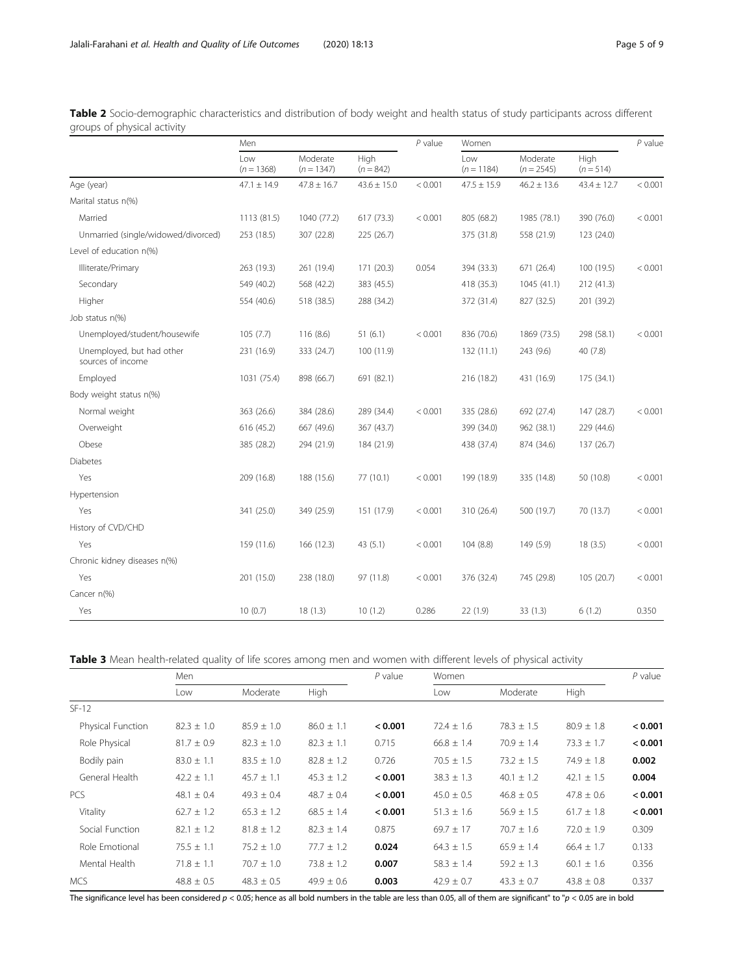|                                                | Men                 |                          |                     | $P$ value | Women               |                          |                     | $P$ value |
|------------------------------------------------|---------------------|--------------------------|---------------------|-----------|---------------------|--------------------------|---------------------|-----------|
|                                                | Low<br>$(n = 1368)$ | Moderate<br>$(n = 1347)$ | High<br>$(n = 842)$ |           | Low<br>$(n = 1184)$ | Moderate<br>$(n = 2545)$ | High<br>$(n = 514)$ |           |
| Age (year)                                     | $47.1 \pm 14.9$     | $47.8 \pm 16.7$          | $43.6 \pm 15.0$     | < 0.001   | $47.5 \pm 15.9$     | $46.2 \pm 13.6$          | $43.4 \pm 12.7$     | < 0.001   |
| Marital status n(%)                            |                     |                          |                     |           |                     |                          |                     |           |
| Married                                        | 1113 (81.5)         | 1040 (77.2)              | 617 (73.3)          | < 0.001   | 805 (68.2)          | 1985 (78.1)              | 390 (76.0)          | < 0.001   |
| Unmarried (single/widowed/divorced)            | 253 (18.5)          | 307 (22.8)               | 225 (26.7)          |           | 375 (31.8)          | 558 (21.9)               | 123 (24.0)          |           |
| Level of education n(%)                        |                     |                          |                     |           |                     |                          |                     |           |
| Illiterate/Primary                             | 263 (19.3)          | 261 (19.4)               | 171 (20.3)          | 0.054     | 394 (33.3)          | 671 (26.4)               | 100 (19.5)          | < 0.001   |
| Secondary                                      | 549 (40.2)          | 568 (42.2)               | 383 (45.5)          |           | 418 (35.3)          | 1045(41.1)               | 212 (41.3)          |           |
| Higher                                         | 554 (40.6)          | 518 (38.5)               | 288 (34.2)          |           | 372 (31.4)          | 827 (32.5)               | 201 (39.2)          |           |
| Job status n(%)                                |                     |                          |                     |           |                     |                          |                     |           |
| Unemployed/student/housewife                   | 105(7.7)            | 116(8.6)                 | 51(6.1)             | < 0.001   | 836 (70.6)          | 1869 (73.5)              | 298 (58.1)          | < 0.001   |
| Unemployed, but had other<br>sources of income | 231 (16.9)          | 333 (24.7)               | 100 (11.9)          |           | 132 (11.1)          | 243 (9.6)                | 40 (7.8)            |           |
| Employed                                       | 1031 (75.4)         | 898 (66.7)               | 691 (82.1)          |           | 216 (18.2)          | 431 (16.9)               | 175 (34.1)          |           |
| Body weight status n(%)                        |                     |                          |                     |           |                     |                          |                     |           |
| Normal weight                                  | 363 (26.6)          | 384 (28.6)               | 289 (34.4)          | < 0.001   | 335 (28.6)          | 692 (27.4)               | 147 (28.7)          | < 0.001   |
| Overweight                                     | 616 (45.2)          | 667 (49.6)               | 367 (43.7)          |           | 399 (34.0)          | 962 (38.1)               | 229 (44.6)          |           |
| Obese                                          | 385 (28.2)          | 294 (21.9)               | 184 (21.9)          |           | 438 (37.4)          | 874 (34.6)               | 137 (26.7)          |           |
| <b>Diabetes</b>                                |                     |                          |                     |           |                     |                          |                     |           |
| Yes                                            | 209 (16.8)          | 188 (15.6)               | 77 (10.1)           | < 0.001   | 199 (18.9)          | 335 (14.8)               | 50 (10.8)           | < 0.001   |
| Hypertension                                   |                     |                          |                     |           |                     |                          |                     |           |
| Yes                                            | 341 (25.0)          | 349 (25.9)               | 151 (17.9)          | < 0.001   | 310 (26.4)          | 500 (19.7)               | 70 (13.7)           | < 0.001   |
| History of CVD/CHD                             |                     |                          |                     |           |                     |                          |                     |           |
| Yes                                            | 159 (11.6)          | 166 (12.3)               | 43 (5.1)            | < 0.001   | 104 (8.8)           | 149 (5.9)                | 18(3.5)             | < 0.001   |
| Chronic kidney diseases n(%)                   |                     |                          |                     |           |                     |                          |                     |           |
| Yes                                            | 201 (15.0)          | 238 (18.0)               | 97 (11.8)           | < 0.001   | 376 (32.4)          | 745 (29.8)               | 105 (20.7)          | < 0.001   |
| Cancer n(%)                                    |                     |                          |                     |           |                     |                          |                     |           |
| Yes                                            | 10(0.7)             | 18(1.3)                  | 10(1.2)             | 0.286     | 22 (1.9)            | 33 (1.3)                 | 6(1.2)              | 0.350     |

<span id="page-4-0"></span>

| Table 2 Socio-demographic characteristics and distribution of body weight and health status of study participants across different |  |  |  |  |
|------------------------------------------------------------------------------------------------------------------------------------|--|--|--|--|
| groups of physical activity                                                                                                        |  |  |  |  |

Table 3 Mean health-related quality of life scores among men and women with different levels of physical activity

|                   | Men            |                |                | $P$ value | Women          | $P$ value      |                |         |
|-------------------|----------------|----------------|----------------|-----------|----------------|----------------|----------------|---------|
|                   | Low            | Moderate       | High           |           | Low            | Moderate       | <b>High</b>    |         |
| $SF-12$           |                |                |                |           |                |                |                |         |
| Physical Function | $82.3 \pm 1.0$ | $85.9 \pm 1.0$ | $86.0 \pm 1.1$ | < 0.001   | $72.4 \pm 1.6$ | $78.3 \pm 1.5$ | $80.9 \pm 1.8$ | < 0.001 |
| Role Physical     | $81.7 \pm 0.9$ | $82.3 \pm 1.0$ | $82.3 \pm 1.1$ | 0.715     | $66.8 \pm 1.4$ | $70.9 \pm 1.4$ | $73.3 \pm 1.7$ | < 0.001 |
| Bodily pain       | $83.0 \pm 1.1$ | $83.5 \pm 1.0$ | $82.8 \pm 1.2$ | 0.726     | $70.5 \pm 1.5$ | $73.2 \pm 1.5$ | $74.9 \pm 1.8$ | 0.002   |
| General Health    | $42.2 \pm 1.1$ | $45.7 \pm 1.1$ | $45.3 \pm 1.2$ | < 0.001   | $38.3 \pm 1.3$ | $40.1 \pm 1.2$ | $42.1 \pm 1.5$ | 0.004   |
| <b>PCS</b>        | $48.1 \pm 0.4$ | $49.3 \pm 0.4$ | $48.7 \pm 0.4$ | < 0.001   | $45.0 \pm 0.5$ | $46.8 \pm 0.5$ | $47.8 \pm 0.6$ | < 0.001 |
| Vitality          | $62.7 \pm 1.2$ | $65.3 \pm 1.2$ | $68.5 \pm 1.4$ | < 0.001   | $51.3 \pm 1.6$ | $56.9 \pm 1.5$ | $61.7 \pm 1.8$ | < 0.001 |
| Social Function   | $82.1 \pm 1.2$ | $81.8 \pm 1.2$ | $82.3 \pm 1.4$ | 0.875     | $69.7 \pm 17$  | $70.7 \pm 1.6$ | $72.0 \pm 1.9$ | 0.309   |
| Role Emotional    | $75.5 \pm 1.1$ | $75.2 \pm 1.0$ | $77.7 \pm 1.2$ | 0.024     | $64.3 \pm 1.5$ | $65.9 \pm 1.4$ | $66.4 \pm 1.7$ | 0.133   |
| Mental Health     | $71.8 \pm 1.1$ | $70.7 \pm 1.0$ | $73.8 \pm 1.2$ | 0.007     | $58.3 \pm 1.4$ | $59.2 \pm 1.3$ | $60.1 \pm 1.6$ | 0.356   |
| <b>MCS</b>        | $48.8 \pm 0.5$ | $48.3 \pm 0.5$ | $49.9 \pm 0.6$ | 0.003     | $42.9 \pm 0.7$ | $43.3 \pm 0.7$ | $43.8 \pm 0.8$ | 0.337   |

The significance level has been considered  $p < 0.05$ ; hence as all bold numbers in the table are less than 0.05, all of them are significant" to " $p < 0.05$  are in bold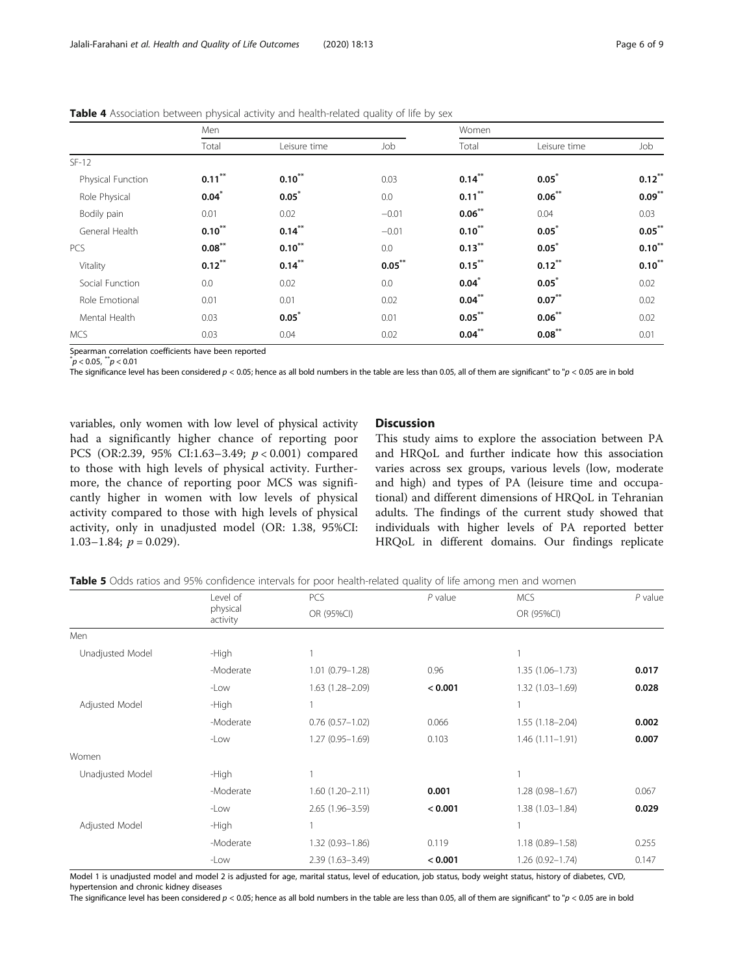|                   | Men       |              |           | Women     |              |           |  |
|-------------------|-----------|--------------|-----------|-----------|--------------|-----------|--|
|                   | Total     | Leisure time | Job       | Total     | Leisure time | Job       |  |
| $SF-12$           |           |              |           |           |              |           |  |
| Physical Function | $0.11***$ | $0.10***$    | 0.03      | $0.14***$ | $0.05^*$     | $0.12***$ |  |
| Role Physical     | $0.04*$   | $0.05^*$     | 0.0       | $0.11***$ | $0.06***$    | $0.09***$ |  |
| Bodily pain       | 0.01      | 0.02         | $-0.01$   | $0.06***$ | 0.04         | 0.03      |  |
| General Health    | $0.10***$ | $0.14***$    | $-0.01$   | $0.10***$ | $0.05^*$     | $0.05***$ |  |
| <b>PCS</b>        | $0.08***$ | $0.10***$    | 0.0       | $0.13***$ | $0.05^*$     | $0.10***$ |  |
| Vitality          | $0.12***$ | $0.14***$    | $0.05***$ | $0.15***$ | $0.12***$    | $0.10***$ |  |
| Social Function   | 0.0       | 0.02         | 0.0       | $0.04^*$  | $0.05^*$     | 0.02      |  |
| Role Emotional    | 0.01      | 0.01         | 0.02      | $0.04***$ | $0.07***$    | 0.02      |  |
| Mental Health     | 0.03      | $0.05^*$     | 0.01      | $0.05***$ | $0.06***$    | 0.02      |  |
| <b>MCS</b>        | 0.03      | 0.04         | 0.02      | $0.04***$ | $0.08***$    | 0.01      |  |

<span id="page-5-0"></span>Table 4 Association between physical activity and health-related quality of life by sex

Spearman correlation coefficients have been reported

 $p < 0.05, p < 0.01$ 

The significance level has been considered  $p < 0.05$ ; hence as all bold numbers in the table are less than 0.05, all of them are significant" to " $p < 0.05$  are in bold

variables, only women with low level of physical activity had a significantly higher chance of reporting poor PCS (OR:2.39, 95% CI:1.63–3.49; p < 0.001) compared to those with high levels of physical activity. Furthermore, the chance of reporting poor MCS was significantly higher in women with low levels of physical activity compared to those with high levels of physical activity, only in unadjusted model (OR: 1.38, 95%CI: 1.03–1.84;  $p = 0.029$ ).

# Discussion

This study aims to explore the association between PA and HRQoL and further indicate how this association varies across sex groups, various levels (low, moderate and high) and types of PA (leisure time and occupational) and different dimensions of HRQoL in Tehranian adults. The findings of the current study showed that individuals with higher levels of PA reported better HRQoL in different domains. Our findings replicate

|  |  |  | Table 5 Odds ratios and 95% confidence intervals for poor health-related quality of life among men and women |  |  |
|--|--|--|--------------------------------------------------------------------------------------------------------------|--|--|
|  |  |  |                                                                                                              |  |  |

|                  | Level of             | PCS                  | $P$ value | <b>MCS</b>          | $P$ value |
|------------------|----------------------|----------------------|-----------|---------------------|-----------|
|                  | physical<br>activity | OR (95%CI)           |           | OR (95%CI)          |           |
| Men              |                      |                      |           |                     |           |
| Unadjusted Model | -High                |                      |           |                     |           |
|                  | -Moderate            | $1.01(0.79 - 1.28)$  | 0.96      | $1.35(1.06 - 1.73)$ | 0.017     |
|                  | -Low                 | 1.63 (1.28-2.09)     | < 0.001   | $1.32(1.03 - 1.69)$ | 0.028     |
| Adjusted Model   | -High                |                      |           |                     |           |
|                  | -Moderate            | $0.76$ $(0.57-1.02)$ | 0.066     | $1.55(1.18 - 2.04)$ | 0.002     |
|                  | -Low                 | $1.27(0.95 - 1.69)$  | 0.103     | $1.46(1.11 - 1.91)$ | 0.007     |
| Women            |                      |                      |           |                     |           |
| Unadjusted Model | -High                |                      |           |                     |           |
|                  | -Moderate            | $1.60(1.20 - 2.11)$  | 0.001     | $1.28(0.98 - 1.67)$ | 0.067     |
|                  | -Low                 | 2.65 (1.96-3.59)     | < 0.001   | $1.38(1.03 - 1.84)$ | 0.029     |
| Adjusted Model   | -High                |                      |           |                     |           |
|                  | -Moderate            | $1.32(0.93 - 1.86)$  | 0.119     | $1.18(0.89 - 1.58)$ | 0.255     |
|                  | -Low                 | $2.39(1.63 - 3.49)$  | < 0.001   | $1.26(0.92 - 1.74)$ | 0.147     |

Model 1 is unadjusted model and model 2 is adjusted for age, marital status, level of education, job status, body weight status, history of diabetes, CVD, hypertension and chronic kidney diseases

The significance level has been considered  $p < 0.05$ ; hence as all bold numbers in the table are less than 0.05, all of them are significant" to " $p < 0.05$  are in bold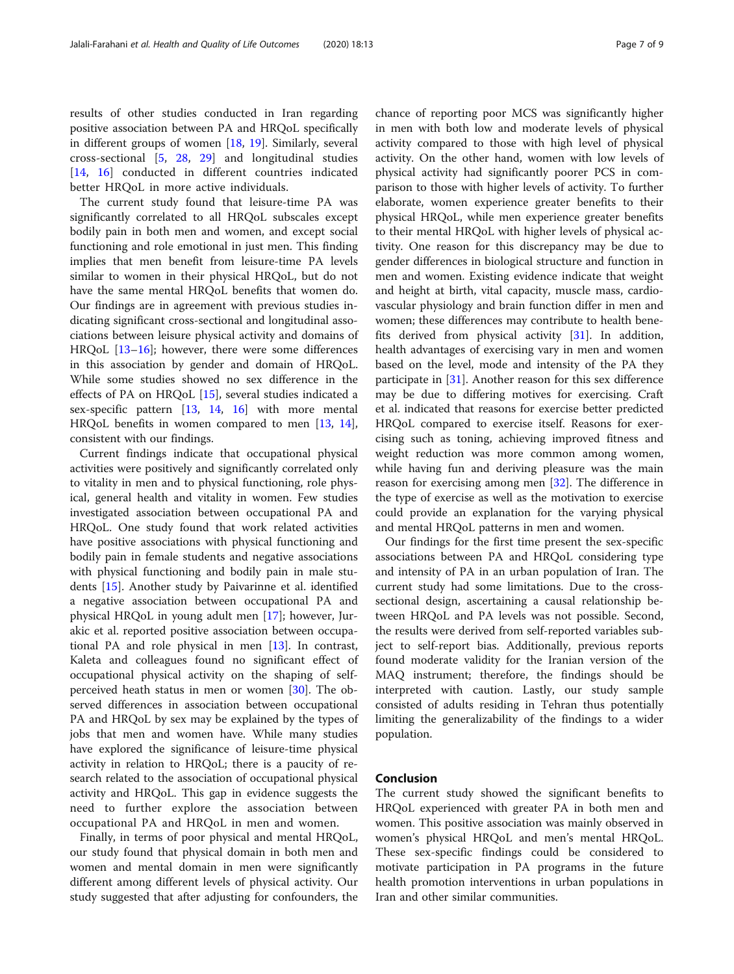results of other studies conducted in Iran regarding positive association between PA and HRQoL specifically in different groups of women [[18](#page-7-0), [19](#page-7-0)]. Similarly, several cross-sectional [\[5](#page-7-0), [28,](#page-7-0) [29](#page-7-0)] and longitudinal studies [[14,](#page-7-0) [16](#page-7-0)] conducted in different countries indicated better HRQoL in more active individuals.

The current study found that leisure-time PA was significantly correlated to all HRQoL subscales except bodily pain in both men and women, and except social functioning and role emotional in just men. This finding implies that men benefit from leisure-time PA levels similar to women in their physical HRQoL, but do not have the same mental HRQoL benefits that women do. Our findings are in agreement with previous studies indicating significant cross-sectional and longitudinal associations between leisure physical activity and domains of HRQoL [\[13](#page-7-0)–[16\]](#page-7-0); however, there were some differences in this association by gender and domain of HRQoL. While some studies showed no sex difference in the effects of PA on HRQoL [[15\]](#page-7-0), several studies indicated a sex-specific pattern [\[13](#page-7-0), [14](#page-7-0), [16](#page-7-0)] with more mental HRQoL benefits in women compared to men [\[13,](#page-7-0) [14](#page-7-0)], consistent with our findings.

Current findings indicate that occupational physical activities were positively and significantly correlated only to vitality in men and to physical functioning, role physical, general health and vitality in women. Few studies investigated association between occupational PA and HRQoL. One study found that work related activities have positive associations with physical functioning and bodily pain in female students and negative associations with physical functioning and bodily pain in male students [[15](#page-7-0)]. Another study by Paivarinne et al. identified a negative association between occupational PA and physical HRQoL in young adult men [[17](#page-7-0)]; however, Jurakic et al. reported positive association between occupational PA and role physical in men [\[13\]](#page-7-0). In contrast, Kaleta and colleagues found no significant effect of occupational physical activity on the shaping of selfperceived heath status in men or women [\[30](#page-7-0)]. The observed differences in association between occupational PA and HRQoL by sex may be explained by the types of jobs that men and women have. While many studies have explored the significance of leisure-time physical activity in relation to HRQoL; there is a paucity of research related to the association of occupational physical activity and HRQoL. This gap in evidence suggests the need to further explore the association between occupational PA and HRQoL in men and women.

Finally, in terms of poor physical and mental HRQoL, our study found that physical domain in both men and women and mental domain in men were significantly different among different levels of physical activity. Our study suggested that after adjusting for confounders, the

chance of reporting poor MCS was significantly higher in men with both low and moderate levels of physical activity compared to those with high level of physical activity. On the other hand, women with low levels of physical activity had significantly poorer PCS in comparison to those with higher levels of activity. To further elaborate, women experience greater benefits to their physical HRQoL, while men experience greater benefits to their mental HRQoL with higher levels of physical activity. One reason for this discrepancy may be due to gender differences in biological structure and function in men and women. Existing evidence indicate that weight and height at birth, vital capacity, muscle mass, cardiovascular physiology and brain function differ in men and women; these differences may contribute to health benefits derived from physical activity [[31](#page-8-0)]. In addition, health advantages of exercising vary in men and women based on the level, mode and intensity of the PA they participate in [[31\]](#page-8-0). Another reason for this sex difference may be due to differing motives for exercising. Craft et al. indicated that reasons for exercise better predicted HRQoL compared to exercise itself. Reasons for exercising such as toning, achieving improved fitness and weight reduction was more common among women, while having fun and deriving pleasure was the main reason for exercising among men [\[32](#page-8-0)]. The difference in the type of exercise as well as the motivation to exercise could provide an explanation for the varying physical and mental HRQoL patterns in men and women.

Our findings for the first time present the sex-specific associations between PA and HRQoL considering type and intensity of PA in an urban population of Iran. The current study had some limitations. Due to the crosssectional design, ascertaining a causal relationship between HRQoL and PA levels was not possible. Second, the results were derived from self-reported variables subject to self-report bias. Additionally, previous reports found moderate validity for the Iranian version of the MAQ instrument; therefore, the findings should be interpreted with caution. Lastly, our study sample consisted of adults residing in Tehran thus potentially limiting the generalizability of the findings to a wider population.

# Conclusion

The current study showed the significant benefits to HRQoL experienced with greater PA in both men and women. This positive association was mainly observed in women's physical HRQoL and men's mental HRQoL. These sex-specific findings could be considered to motivate participation in PA programs in the future health promotion interventions in urban populations in Iran and other similar communities.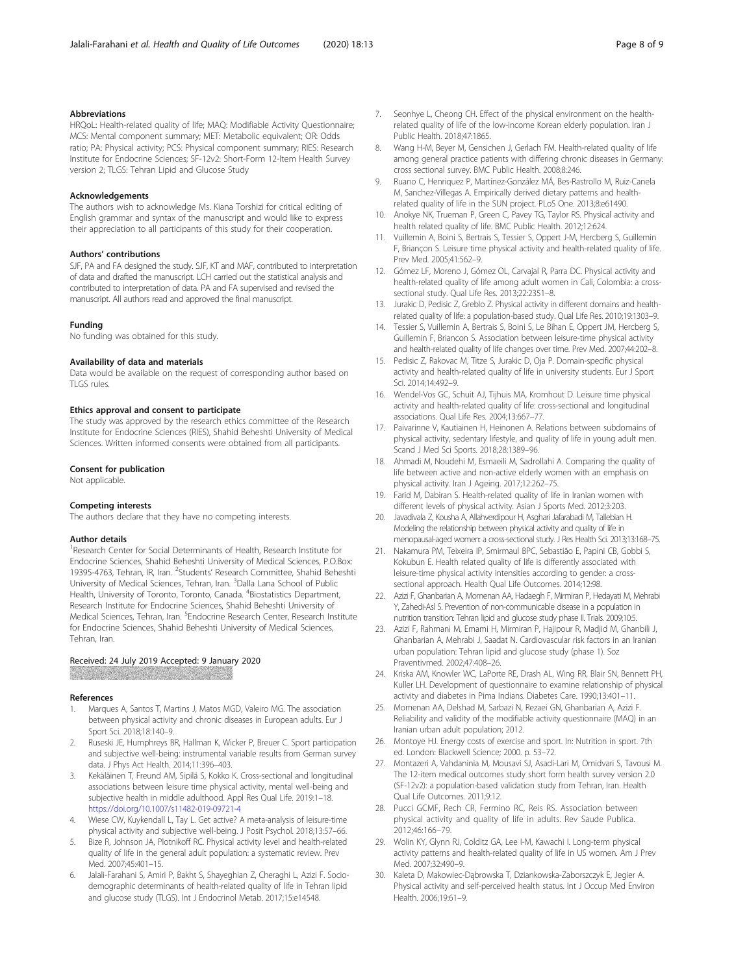### <span id="page-7-0"></span>Abbreviations

HRQoL: Health-related quality of life; MAQ: Modifiable Activity Questionnaire; MCS: Mental component summary; MET: Metabolic equivalent; OR: Odds ratio; PA: Physical activity; PCS: Physical component summary; RIES: Research Institute for Endocrine Sciences; SF-12v2: Short-Form 12-Item Health Survey version 2; TLGS: Tehran Lipid and Glucose Study

#### Acknowledgements

The authors wish to acknowledge Ms. Kiana Torshizi for critical editing of English grammar and syntax of the manuscript and would like to express their appreciation to all participants of this study for their cooperation.

#### Authors' contributions

SJF, PA and FA designed the study. SJF, KT and MAF, contributed to interpretation of data and drafted the manuscript. LCH carried out the statistical analysis and contributed to interpretation of data. PA and FA supervised and revised the manuscript. All authors read and approved the final manuscript.

#### Funding

No funding was obtained for this study.

#### Availability of data and materials

Data would be available on the request of corresponding author based on TLGS rules.

#### Ethics approval and consent to participate

The study was approved by the research ethics committee of the Research Institute for Endocrine Sciences (RIES), Shahid Beheshti University of Medical Sciences. Written informed consents were obtained from all participants.

#### Consent for publication

Not applicable.

#### Competing interests

The authors declare that they have no competing interests.

#### Author details

<sup>1</sup> Research Center for Social Determinants of Health, Research Institute for Endocrine Sciences, Shahid Beheshti University of Medical Sciences, P.O.Box: 19395-4763, Tehran, IR, Iran. <sup>2</sup>Students' Research Committee, Shahid Beheshti University of Medical Sciences, Tehran, Iran. <sup>3</sup>Dalla Lana School of Public Health, University of Toronto, Toronto, Canada. <sup>4</sup>Biostatistics Department, Research Institute for Endocrine Sciences, Shahid Beheshti University of Medical Sciences, Tehran, Iran. <sup>5</sup>Endocrine Research Center, Research Institute for Endocrine Sciences, Shahid Beheshti University of Medical Sciences, Tehran, Iran.

#### Received: 24 July 2019 Accepted: 9 January 2020

#### References

- 1. Marques A, Santos T, Martins J, Matos MGD, Valeiro MG. The association between physical activity and chronic diseases in European adults. Eur J Sport Sci. 2018;18:140–9.
- 2. Ruseski JE, Humphreys BR, Hallman K, Wicker P, Breuer C. Sport participation and subjective well-being: instrumental variable results from German survey data. J Phys Act Health. 2014;11:396–403.
- 3. Kekäläinen T, Freund AM, Sipilä S, Kokko K. Cross-sectional and longitudinal associations between leisure time physical activity, mental well-being and subjective health in middle adulthood. Appl Res Qual Life. 2019:1–18. <https://doi.org/10.1007/s11482-019-09721-4>
- 4. Wiese CW, Kuykendall L, Tay L. Get active? A meta-analysis of leisure-time physical activity and subjective well-being. J Posit Psychol. 2018;13:57–66.
- 5. Bize R, Johnson JA, Plotnikoff RC. Physical activity level and health-related quality of life in the general adult population: a systematic review. Prev Med. 2007;45:401–15.
- 6. Jalali-Farahani S, Amiri P, Bakht S, Shayeghian Z, Cheraghi L, Azizi F. Sociodemographic determinants of health-related quality of life in Tehran lipid and glucose study (TLGS). Int J Endocrinol Metab. 2017;15:e14548.
- 7. Seonhye L, Cheong CH. Effect of the physical environment on the healthrelated quality of life of the low-income Korean elderly population. Iran J Public Health. 2018;47:1865.
- Wang H-M, Beyer M, Gensichen J, Gerlach FM. Health-related quality of life among general practice patients with differing chronic diseases in Germany: cross sectional survey. BMC Public Health. 2008;8:246.
- 9. Ruano C, Henriquez P, Martínez-González MÁ, Bes-Rastrollo M, Ruiz-Canela M, Sanchez-Villegas A. Empirically derived dietary patterns and healthrelated quality of life in the SUN project. PLoS One. 2013;8:e61490.
- 10. Anokye NK, Trueman P, Green C, Pavey TG, Taylor RS. Physical activity and health related quality of life. BMC Public Health. 2012;12:624.
- 11. Vuillemin A, Boini S, Bertrais S, Tessier S, Oppert J-M, Hercberg S, Guillemin F, Briançon S. Leisure time physical activity and health-related quality of life. Prev Med. 2005;41:562–9.
- 12. Gómez LF, Moreno J, Gómez OL, Carvajal R, Parra DC. Physical activity and health-related quality of life among adult women in Cali, Colombia: a crosssectional study. Qual Life Res. 2013;22:2351–8.
- 13. Jurakic D, Pedisic Z, Greblo Z. Physical activity in different domains and healthrelated quality of life: a population-based study. Qual Life Res. 2010;19:1303–9.
- 14. Tessier S, Vuillemin A, Bertrais S, Boini S, Le Bihan E, Oppert JM, Hercberg S, Guillemin F, Briancon S. Association between leisure-time physical activity and health-related quality of life changes over time. Prev Med. 2007;44:202–8.
- 15. Pedisic Z, Rakovac M, Titze S, Jurakic D, Oja P. Domain-specific physical activity and health-related quality of life in university students. Eur J Sport Sci. 2014;14:492–9.
- 16. Wendel-Vos GC, Schuit AJ, Tijhuis MA, Kromhout D. Leisure time physical activity and health-related quality of life: cross-sectional and longitudinal associations. Qual Life Res. 2004;13:667–77.
- 17. Paivarinne V, Kautiainen H, Heinonen A. Relations between subdomains of physical activity, sedentary lifestyle, and quality of life in young adult men. Scand J Med Sci Sports. 2018;28:1389–96.
- 18. Ahmadi M, Noudehi M, Esmaeili M, Sadrollahi A. Comparing the quality of life between active and non-active elderly women with an emphasis on physical activity. Iran J Ageing. 2017;12:262–75.
- 19. Farid M, Dabiran S. Health-related quality of life in Iranian women with different levels of physical activity. Asian J Sports Med. 2012;3:203.
- 20. Javadivala Z, Kousha A, Allahverdipour H, Asghari Jafarabadi M, Tallebian H. Modeling the relationship between physical activity and quality of life in menopausal-aged women: a cross-sectional study. J Res Health Sci. 2013;13:168–75.
- 21. Nakamura PM, Teixeira IP, Smirmaul BPC, Sebastião E, Papini CB, Gobbi S, Kokubun E. Health related quality of life is differently associated with leisure-time physical activity intensities according to gender: a crosssectional approach. Health Qual Life Outcomes. 2014;12:98.
- 22. Azizi F, Ghanbarian A, Momenan AA, Hadaegh F, Mirmiran P, Hedayati M, Mehrabi Y, Zahedi-Asl S. Prevention of non-communicable disease in a population in nutrition transition: Tehran lipid and glucose study phase II. Trials. 2009;10:5.
- 23. Azizi F, Rahmani M, Emami H, Mirmiran P, Hajipour R, Madjid M, Ghanbili J, Ghanbarian A, Mehrabi J, Saadat N. Cardiovascular risk factors in an Iranian urban population: Tehran lipid and glucose study (phase 1). Soz Praventivmed. 2002;47:408–26.
- 24. Kriska AM, Knowler WC, LaPorte RE, Drash AL, Wing RR, Blair SN, Bennett PH, Kuller LH. Development of questionnaire to examine relationship of physical activity and diabetes in Pima Indians. Diabetes Care. 1990;13:401–11.
- 25. Momenan AA, Delshad M, Sarbazi N, Rezaei GN, Ghanbarian A, Azizi F. Reliability and validity of the modifiable activity questionnaire (MAQ) in an Iranian urban adult population; 2012.
- 26. Montoye HJ. Energy costs of exercise and sport. In: Nutrition in sport. 7th ed. London: Blackwell Science; 2000. p. 53–72.
- 27. Montazeri A, Vahdaninia M, Mousavi SJ, Asadi-Lari M, Omidvari S, Tavousi M. The 12-item medical outcomes study short form health survey version 2.0 (SF-12v2): a population-based validation study from Tehran, Iran. Health Qual Life Outcomes. 2011;9:12.
- 28. Pucci GCMF, Rech CR, Fermino RC, Reis RS. Association between physical activity and quality of life in adults. Rev Saude Publica. 2012;46:166–79.
- 29. Wolin KY, Glynn RJ, Colditz GA, Lee I-M, Kawachi I. Long-term physical activity patterns and health-related quality of life in US women. Am J Prev Med. 2007;32:490–9.
- 30. Kaleta D, Makowiec-Dąbrowska T, Dziankowska-Zaborszczyk E, Jegier A. Physical activity and self-perceived health status. Int J Occup Med Environ Health. 2006;19:61–9.